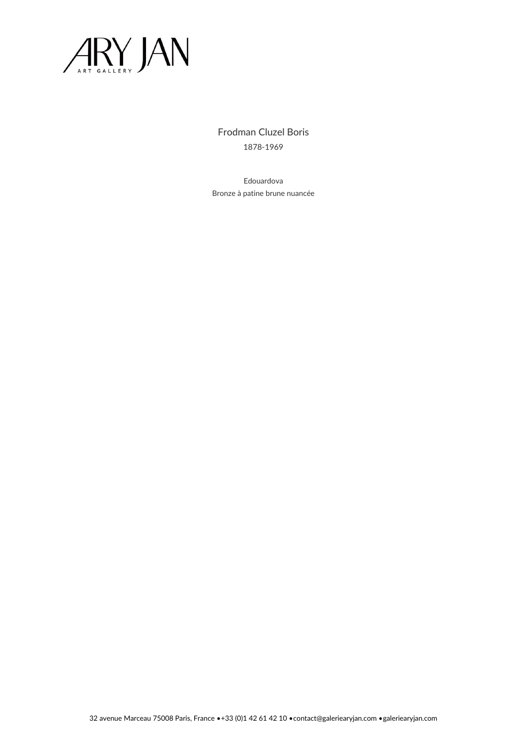

Frodman Cluzel Boris 1878-1969

Edouardova Bronze à patine brune nuancée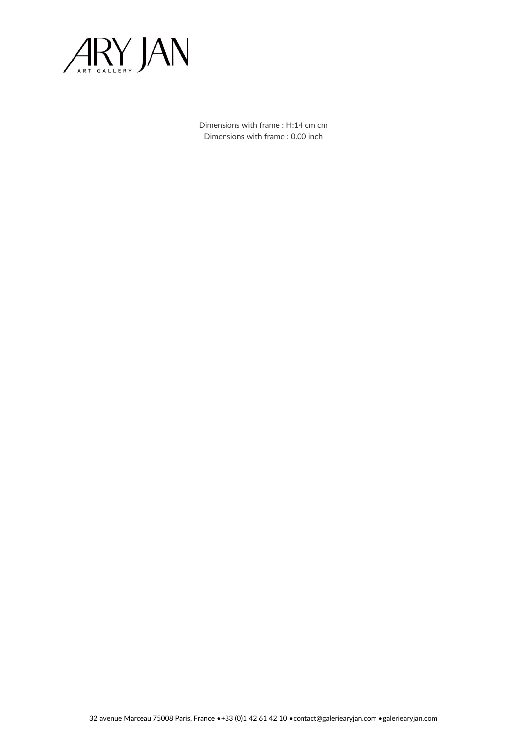

Dimensions with frame : H:14 cm cm Dimensions with frame : 0.00 inch